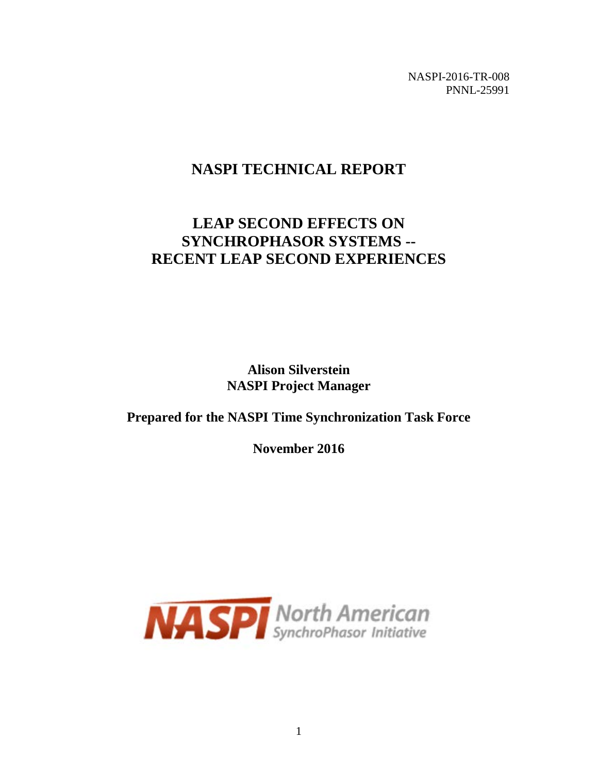NASPI-2016-TR-008 PNNL-25991

# **NASPI TECHNICAL REPORT**

# **LEAP SECOND EFFECTS ON SYNCHROPHASOR SYSTEMS -- RECENT LEAP SECOND EXPERIENCES**

**Alison Silverstein NASPI Project Manager**

### **Prepared for the NASPI Time Synchronization Task Force**

**November 2016**

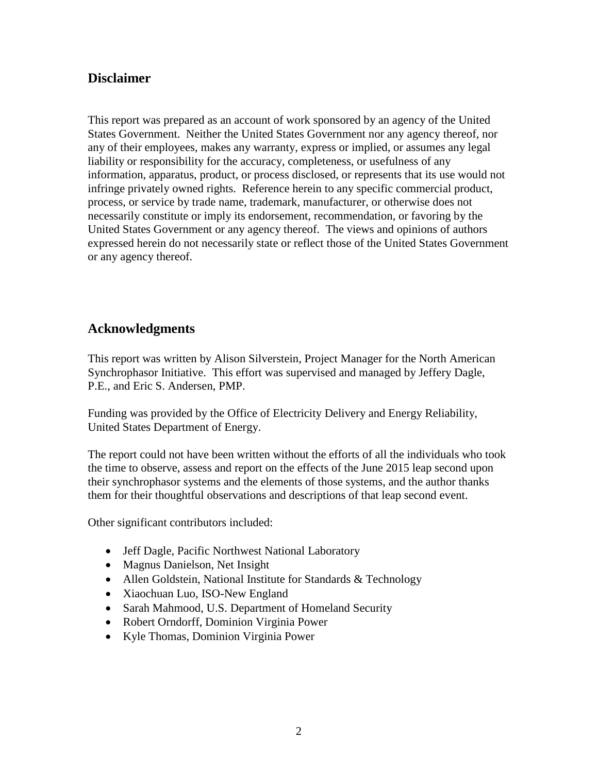#### **Disclaimer**

This report was prepared as an account of work sponsored by an agency of the United States Government. Neither the United States Government nor any agency thereof, nor any of their employees, makes any warranty, express or implied, or assumes any legal liability or responsibility for the accuracy, completeness, or usefulness of any information, apparatus, product, or process disclosed, or represents that its use would not infringe privately owned rights. Reference herein to any specific commercial product, process, or service by trade name, trademark, manufacturer, or otherwise does not necessarily constitute or imply its endorsement, recommendation, or favoring by the United States Government or any agency thereof. The views and opinions of authors expressed herein do not necessarily state or reflect those of the United States Government or any agency thereof.

### **Acknowledgments**

This report was written by Alison Silverstein, Project Manager for the North American Synchrophasor Initiative. This effort was supervised and managed by Jeffery Dagle, P.E., and Eric S. Andersen, PMP.

Funding was provided by the Office of Electricity Delivery and Energy Reliability, United States Department of Energy.

The report could not have been written without the efforts of all the individuals who took the time to observe, assess and report on the effects of the June 2015 leap second upon their synchrophasor systems and the elements of those systems, and the author thanks them for their thoughtful observations and descriptions of that leap second event.

Other significant contributors included:

- Jeff Dagle, Pacific Northwest National Laboratory
- Magnus Danielson, Net Insight
- Allen Goldstein, National Institute for Standards & Technology
- Xiaochuan Luo, ISO-New England
- Sarah Mahmood, U.S. Department of Homeland Security
- Robert Orndorff, Dominion Virginia Power
- Kyle Thomas, Dominion Virginia Power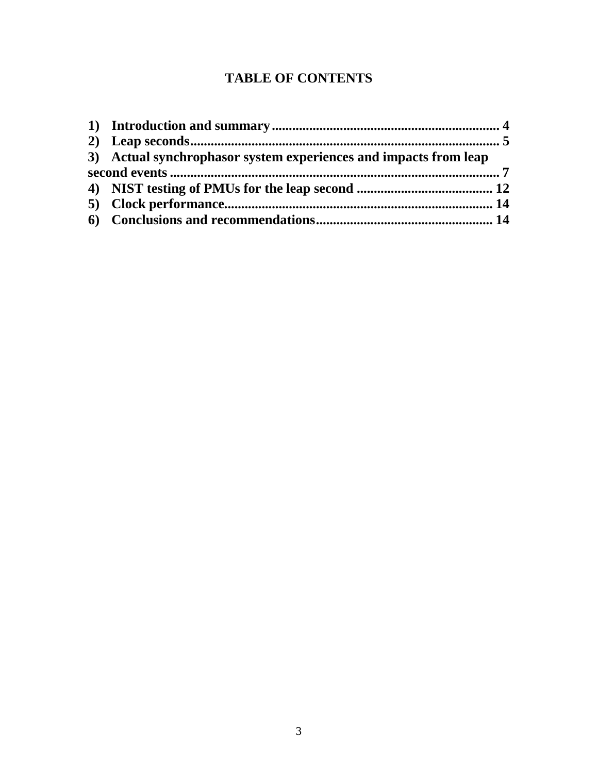## **TABLE OF CONTENTS**

| 3) Actual synchrophasor system experiences and impacts from leap |  |
|------------------------------------------------------------------|--|
|                                                                  |  |
|                                                                  |  |
|                                                                  |  |
|                                                                  |  |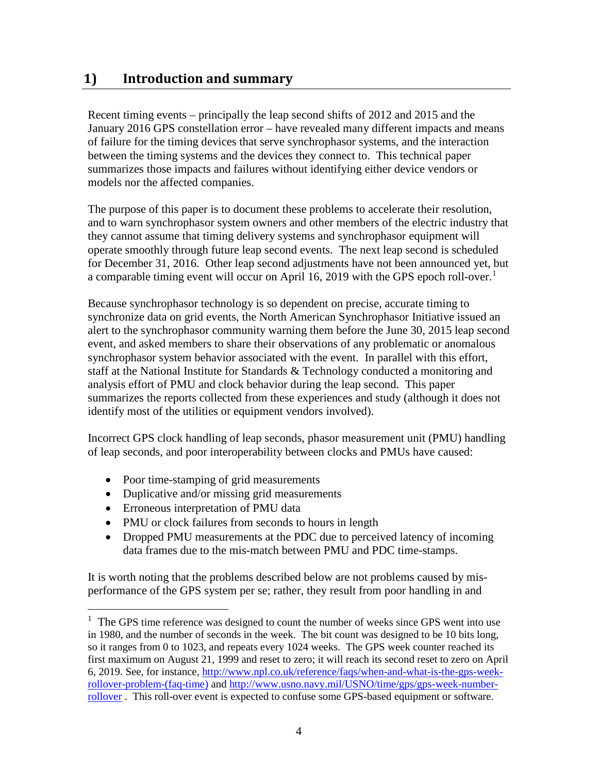## **1) Introduction and summary**

Recent timing events – principally the leap second shifts of 2012 and 2015 and the January 2016 GPS constellation error – have revealed many different impacts and means of failure for the timing devices that serve synchrophasor systems, and the interaction between the timing systems and the devices they connect to. This technical paper summarizes those impacts and failures without identifying either device vendors or models nor the affected companies.

The purpose of this paper is to document these problems to accelerate their resolution, and to warn synchrophasor system owners and other members of the electric industry that they cannot assume that timing delivery systems and synchrophasor equipment will operate smoothly through future leap second events. The next leap second is scheduled for December 31, 2016. Other leap second adjustments have not been announced yet, but a comparable timing event will occur on April [1](#page-3-0)6, 2019 with the GPS epoch roll-over.<sup>1</sup>

Because synchrophasor technology is so dependent on precise, accurate timing to synchronize data on grid events, the North American Synchrophasor Initiative issued an alert to the synchrophasor community warning them before the June 30, 2015 leap second event, and asked members to share their observations of any problematic or anomalous synchrophasor system behavior associated with the event. In parallel with this effort, staff at the National Institute for Standards & Technology conducted a monitoring and analysis effort of PMU and clock behavior during the leap second. This paper summarizes the reports collected from these experiences and study (although it does not identify most of the utilities or equipment vendors involved).

Incorrect GPS clock handling of leap seconds, phasor measurement unit (PMU) handling of leap seconds, and poor interoperability between clocks and PMUs have caused:

- Poor time-stamping of grid measurements
- Duplicative and/or missing grid measurements
- Erroneous interpretation of PMU data
- PMU or clock failures from seconds to hours in length
- Dropped PMU measurements at the PDC due to perceived latency of incoming data frames due to the mis-match between PMU and PDC time-stamps.

It is worth noting that the problems described below are not problems caused by misperformance of the GPS system per se; rather, they result from poor handling in and

<span id="page-3-0"></span> $\frac{1}{1}$  $1$  The GPS time reference was designed to count the number of weeks since GPS went into use in 1980, and the number of seconds in the week. The bit count was designed to be 10 bits long, so it ranges from 0 to 1023, and repeats every 1024 weeks. The GPS week counter reached its first maximum on August 21, 1999 and reset to zero; it will reach its second reset to zero on April 6, 2019. See, for instance, [http://www.npl.co.uk/reference/faqs/when-and-what-is-the-gps-week](http://www.npl.co.uk/reference/faqs/when-and-what-is-the-gps-week-rollover-problem-(faq-time))[rollover-problem-\(faq-time\)](http://www.npl.co.uk/reference/faqs/when-and-what-is-the-gps-week-rollover-problem-(faq-time)) and [http://www.usno.navy.mil/USNO/time/gps/gps-week-number](http://www.usno.navy.mil/USNO/time/gps/gps-week-number-rollover)[rollover](http://www.usno.navy.mil/USNO/time/gps/gps-week-number-rollover) . This roll-over event is expected to confuse some GPS-based equipment or software.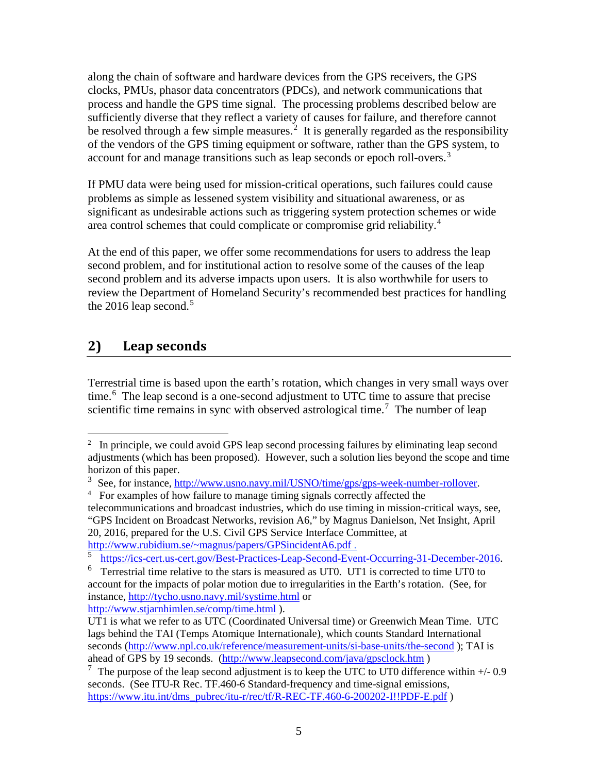along the chain of software and hardware devices from the GPS receivers, the GPS clocks, PMUs, phasor data concentrators (PDCs), and network communications that process and handle the GPS time signal. The processing problems described below are sufficiently diverse that they reflect a variety of causes for failure, and therefore cannot be resolved through a few simple measures.<sup>[2](#page-4-0)</sup> It is generally regarded as the responsibility of the vendors of the GPS timing equipment or software, rather than the GPS system, to account for and manage transitions such as leap seconds or epoch roll-overs.<sup>[3](#page-4-1)</sup>

If PMU data were being used for mission-critical operations, such failures could cause problems as simple as lessened system visibility and situational awareness, or as significant as undesirable actions such as triggering system protection schemes or wide area control schemes that could complicate or compromise grid reliability.<sup>[4](#page-4-2)</sup>

At the end of this paper, we offer some recommendations for users to address the leap second problem, and for institutional action to resolve some of the causes of the leap second problem and its adverse impacts upon users. It is also worthwhile for users to review the Department of Homeland Security's recommended best practices for handling the 2016 leap second.<sup>[5](#page-4-3)</sup>

### **2) Leap seconds**

Terrestrial time is based upon the earth's rotation, which changes in very small ways over time.<sup>[6](#page-4-4)</sup> The leap second is a one-second adjustment to UTC time to assure that precise scientific time remains in sync with observed astrological time.<sup>[7](#page-4-5)</sup> The number of leap

<http://www.stjarnhimlen.se/comp/time.html> ).

<span id="page-4-0"></span> $\frac{1}{2}$  $\frac{1}{2}$  In principle, we could avoid GPS leap second processing failures by eliminating leap second adjustments (which has been proposed). However, such a solution lies beyond the scope and time horizon of this paper.

<span id="page-4-1"></span><sup>&</sup>lt;sup>3</sup> See, for instance, [http://www.usno.navy.mil/USNO/time/gps/gps-week-number-rollover.](http://www.usno.navy.mil/USNO/time/gps/gps-week-number-rollover)

<span id="page-4-2"></span><sup>&</sup>lt;sup>4</sup> For examples of how failure to manage timing signals correctly affected the

telecommunications and broadcast industries, which do use timing in mission-critical ways, see, "GPS Incident on Broadcast Networks, revision A6," by Magnus Danielson, Net Insight, April 20, 2016, prepared for the U.S. Civil GPS Service Interface Committee, at [http://www.rubidium.se/~magnus/papers/GPSincidentA6.pdf](http://www.rubidium.se/%7Emagnus/papers/GPSincidentA6.pdf) .

<span id="page-4-3"></span><sup>5</sup> [https://ics-cert.us-cert.gov/Best-Practices-Leap-Second-Event-Occurring-31-December-2016.](https://ics-cert.us-cert.gov/Best-Practices-Leap-Second-Event-Occurring-31-December-2016)

<span id="page-4-4"></span> $6$  Terrestrial time relative to the stars is measured as UT0. UT1 is corrected to time UT0 to account for the impacts of polar motion due to irregularities in the Earth's rotation. (See, for instance,<http://tycho.usno.navy.mil/systime.html> or

UT1 is what we refer to as UTC (Coordinated Universal time) or Greenwich Mean Time. UTC lags behind the TAI (Temps Atomique Internationale), which counts Standard International seconds [\(http://www.npl.co.uk/reference/measurement-units/si-base-units/the-second](http://www.npl.co.uk/reference/measurement-units/si-base-units/the-second) ); TAI is ahead of GPS by 19 seconds. [\(http://www.leapsecond.com/java/gpsclock.htm](http://www.leapsecond.com/java/gpsclock.htm) )

<span id="page-4-5"></span> $7$  The purpose of the leap second adjustment is to keep the UTC to UT0 difference within  $+/$ -0.9 seconds. (See ITU-R Rec. TF.460-6 Standard-frequency and time-signal emissions, [https://www.itu.int/dms\\_pubrec/itu-r/rec/tf/R-REC-TF.460-6-200202-I!!PDF-E.pdf](https://www.itu.int/dms_pubrec/itu-r/rec/tf/R-REC-TF.460-6-200202-I!!PDF-E.pdf) )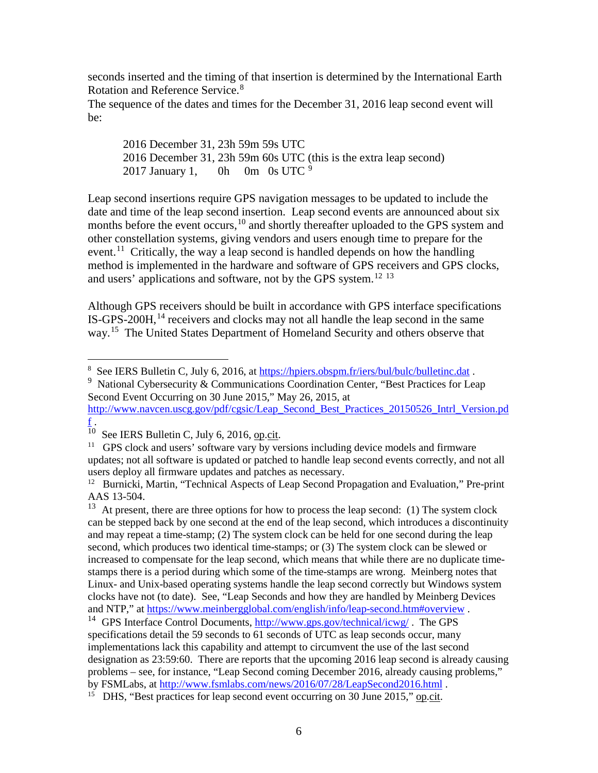seconds inserted and the timing of that insertion is determined by the International Earth Rotation and Reference Service.<sup>[8](#page-5-0)</sup>

The sequence of the dates and times for the December 31, 2016 leap second event will be:

2016 December 31, 23h 59m 59s UTC 2016 December 31, 23h 59m 60s UTC (this is the extra leap second) 2017 January 1, 0h 0m 0s UTC  $9$ 

Leap second insertions require GPS navigation messages to be updated to include the date and time of the leap second insertion. Leap second events are announced about six months before the event occurs,<sup>[10](#page-5-2)</sup> and shortly thereafter uploaded to the GPS system and other constellation systems, giving vendors and users enough time to prepare for the event.<sup>[11](#page-5-3)</sup> Critically, the way a leap second is handled depends on how the handling method is implemented in the hardware and software of GPS receivers and GPS clocks, and users' applications and software, not by the GPS system.[12](#page-5-4) [13](#page-5-5)

Although GPS receivers should be built in accordance with GPS interface specifications IS-GPS-200H,<sup>[14](#page-5-6)</sup> receivers and clocks may not all handle the leap second in the same way.<sup>15</sup> The United States Department of Homeland Security and others observe that

 <sup>8</sup> <sup>8</sup> See IERS Bulletin C, July 6, 2016, at<https://hpiers.obspm.fr/iers/bul/bulc/bulletinc.dat>.

<span id="page-5-1"></span><span id="page-5-0"></span><sup>&</sup>lt;sup>9</sup> National Cybersecurity & Communications Coordination Center, "Best Practices for Leap Second Event Occurring on 30 June 2015," May 26, 2015, at

[http://www.navcen.uscg.gov/pdf/cgsic/Leap\\_Second\\_Best\\_Practices\\_20150526\\_Intrl\\_Version.pd](http://www.navcen.uscg.gov/pdf/cgsic/Leap_Second_Best_Practices_20150526_Intrl_Version.pdf)  $f_{\rm \star}$  $f_{\rm \star}$ 

<span id="page-5-2"></span> $10$  See IERS Bulletin C, July 6, 2016, op.cit.

<span id="page-5-3"></span> $11$  GPS clock and users' software vary by versions including device models and firmware updates; not all software is updated or patched to handle leap second events correctly, and not all users deploy all firmware updates and patches as necessary.

<span id="page-5-4"></span><sup>&</sup>lt;sup>12</sup> Burnicki, Martin, "Technical Aspects of Leap Second Propagation and Evaluation," Pre-print AAS 13-504.<br><sup>13</sup> At present, there are three options for how to process the leap second: (1) The system clock

<span id="page-5-5"></span>can be stepped back by one second at the end of the leap second, which introduces a discontinuity and may repeat a time-stamp; (2) The system clock can be held for one second during the leap second, which produces two identical time-stamps; or (3) The system clock can be slewed or increased to compensate for the leap second, which means that while there are no duplicate timestamps there is a period during which some of the time-stamps are wrong. Meinberg notes that Linux- and Unix-based operating systems handle the leap second correctly but Windows system clocks have not (to date). See, "Leap Seconds and how they are handled by Meinberg Devices and NTP," at<https://www.meinbergglobal.com/english/info/leap-second.htm#overview> .

<span id="page-5-6"></span><sup>&</sup>lt;sup>14</sup> GPS Interface Control Documents,  $\frac{http://www.gps.gov/technical/icwg/}{http://www.gps.gov/technical/icwg/}$ . The GPS specifications detail the 59 seconds to 61 seconds of UTC as leap seconds occur, many implementations lack this capability and attempt to circumvent the use of the last second designation as 23:59:60. There are reports that the upcoming 2016 leap second is already causing problems – see, for instance, "Leap Second coming December 2016, already causing problems,"

by FSMLabs, at<http://www.fsmlabs.com/news/2016/07/28/LeapSecond2016.html> .

<span id="page-5-7"></span><sup>&</sup>lt;sup>15</sup> DHS, "Best practices for leap second event occurring on 30 June 2015," op.cit.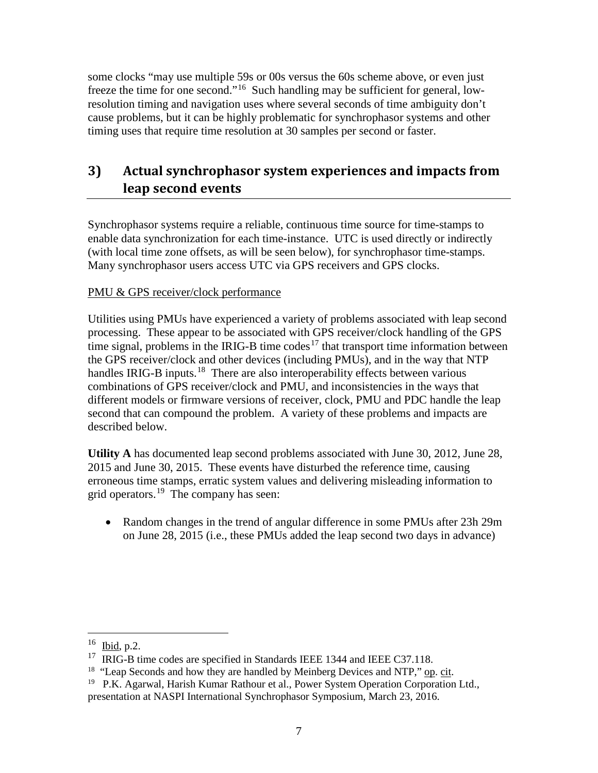some clocks "may use multiple 59s or 00s versus the 60s scheme above, or even just freeze the time for one second."[16](#page-6-0) Such handling may be sufficient for general, lowresolution timing and navigation uses where several seconds of time ambiguity don't cause problems, but it can be highly problematic for synchrophasor systems and other timing uses that require time resolution at 30 samples per second or faster.

## **3) Actual synchrophasor system experiences and impacts from leap second events**

Synchrophasor systems require a reliable, continuous time source for time-stamps to enable data synchronization for each time-instance. UTC is used directly or indirectly (with local time zone offsets, as will be seen below), for synchrophasor time-stamps. Many synchrophasor users access UTC via GPS receivers and GPS clocks.

#### PMU & GPS receiver/clock performance

Utilities using PMUs have experienced a variety of problems associated with leap second processing. These appear to be associated with GPS receiver/clock handling of the GPS time signal, problems in the IRIG-B time codes<sup>[17](#page-6-1)</sup> that transport time information between the GPS receiver/clock and other devices (including PMUs), and in the way that NTP handles IRIG-B inputs.<sup>[18](#page-6-2)</sup> There are also interoperability effects between various combinations of GPS receiver/clock and PMU, and inconsistencies in the ways that different models or firmware versions of receiver, clock, PMU and PDC handle the leap second that can compound the problem. A variety of these problems and impacts are described below.

**Utility A** has documented leap second problems associated with June 30, 2012, June 28, 2015 and June 30, 2015. These events have disturbed the reference time, causing erroneous time stamps, erratic system values and delivering misleading information to grid operators.[19](#page-6-3) The company has seen:

• Random changes in the trend of angular difference in some PMUs after 23h 29m on June 28, 2015 (i.e., these PMUs added the leap second two days in advance)

<span id="page-6-0"></span> <sup>16</sup> Ibid, p.2.

<span id="page-6-2"></span><span id="page-6-1"></span><sup>&</sup>lt;sup>17</sup> IRIG-B time codes are specified in Standards IEEE 1344 and IEEE C37.118.<br><sup>18</sup> "Leap Seconds and how they are handled by Meinberg Devices and NTP," <u>op. cit</u>.

<span id="page-6-3"></span><sup>&</sup>lt;sup>19</sup> P.K. Agarwal, Harish Kumar Rathour et al., Power System Operation Corporation Ltd., presentation at NASPI International Synchrophasor Symposium, March 23, 2016.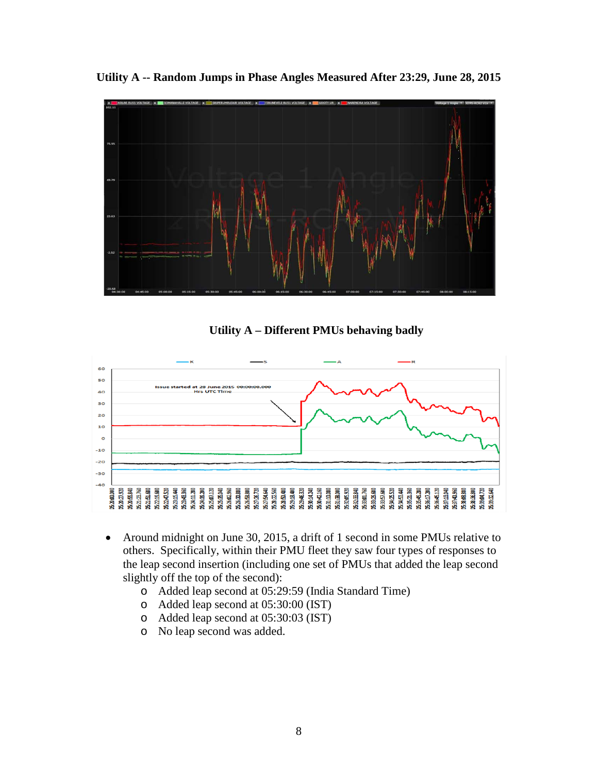



**Utility A – Different PMUs behaving badly**



- Around midnight on June 30, 2015, a drift of 1 second in some PMUs relative to others. Specifically, within their PMU fleet they saw four types of responses to the leap second insertion (including one set of PMUs that added the leap second slightly off the top of the second):
	- o Added leap second at 05:29:59 (India Standard Time)
	- o Added leap second at 05:30:00 (IST)
	- o Added leap second at 05:30:03 (IST)
	- o No leap second was added.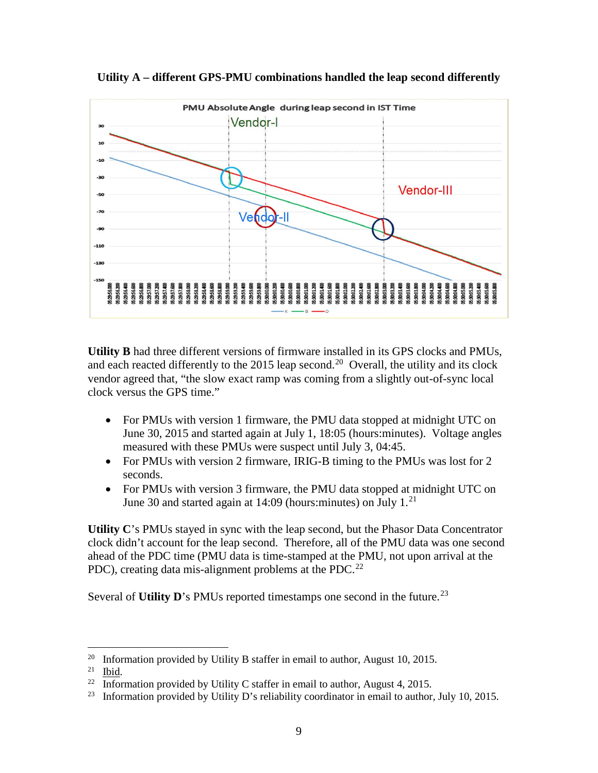

**Utility A – different GPS-PMU combinations handled the leap second differently**

**Utility B** had three different versions of firmware installed in its GPS clocks and PMUs, and each reacted differently to the [20](#page-8-0)15 leap second.<sup>20</sup> Overall, the utility and its clock vendor agreed that, "the slow exact ramp was coming from a slightly out-of-sync local clock versus the GPS time."

- For PMUs with version 1 firmware, the PMU data stopped at midnight UTC on June 30, 2015 and started again at July 1, 18:05 (hours:minutes). Voltage angles measured with these PMUs were suspect until July 3, 04:45.
- For PMUs with version 2 firmware, IRIG-B timing to the PMUs was lost for 2 seconds.
- For PMUs with version 3 firmware, the PMU data stopped at midnight UTC on June 30 and started again at  $14:09$  (hours: minutes) on July  $1.^{21}$  $1.^{21}$  $1.^{21}$

**Utility C**'s PMUs stayed in sync with the leap second, but the Phasor Data Concentrator clock didn't account for the leap second. Therefore, all of the PMU data was one second ahead of the PDC time (PMU data is time-stamped at the PMU, not upon arrival at the PDC), creating data mis-alignment problems at the PDC.<sup>[22](#page-8-2)</sup>

Several of **Utility D**'s PMUs reported timestamps one second in the future.<sup>[23](#page-8-3)</sup>

<span id="page-8-0"></span><sup>&</sup>lt;sup>20</sup> Information provided by Utility B staffer in email to author, August 10, 2015.<br><sup>21</sup> Ibid

<span id="page-8-2"></span><span id="page-8-1"></span> $rac{21}{22}$  Ibid.

Information provided by Utility C staffer in email to author, August 4, 2015.

<span id="page-8-3"></span><sup>&</sup>lt;sup>23</sup> Information provided by Utility D's reliability coordinator in email to author, July 10, 2015.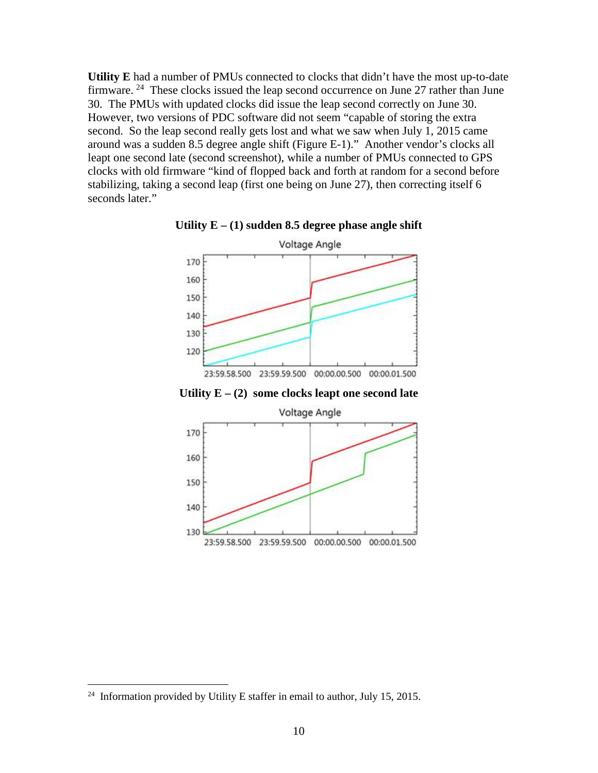**Utility E** had a number of PMUs connected to clocks that didn't have the most up-to-date firmware. <sup>24</sup> These clocks issued the leap second occurrence on June 27 rather than June 30. The PMUs with updated clocks did issue the leap second correctly on June 30. However, two versions of PDC software did not seem "capable of storing the extra second. So the leap second really gets lost and what we saw when July 1, 2015 came around was a sudden 8.5 degree angle shift (Figure E-1)." Another vendor's clocks all leapt one second late (second screenshot), while a number of PMUs connected to GPS clocks with old firmware "kind of flopped back and forth at random for a second before stabilizing, taking a second leap (first one being on June 27), then correcting itself 6 seconds later."



**Utility E – (1) sudden 8.5 degree phase angle shift**

**Utility E – (2) some clocks leapt one second late**



<span id="page-9-0"></span><sup>&</sup>lt;sup>24</sup> Information provided by Utility E staffer in email to author, July 15, 2015.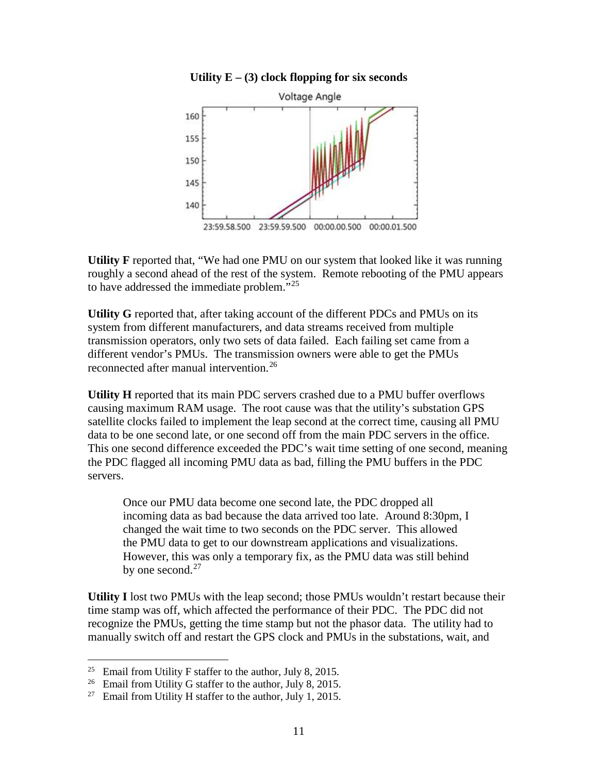#### **Utility E – (3) clock flopping for six seconds**



**Utility F** reported that, "We had one PMU on our system that looked like it was running roughly a second ahead of the rest of the system. Remote rebooting of the PMU appears to have addressed the immediate problem."[25](#page-10-0)

**Utility G** reported that, after taking account of the different PDCs and PMUs on its system from different manufacturers, and data streams received from multiple transmission operators, only two sets of data failed. Each failing set came from a different vendor's PMUs. The transmission owners were able to get the PMUs reconnected after manual intervention.<sup>[26](#page-10-1)</sup>

**Utility H** reported that its main PDC servers crashed due to a PMU buffer overflows causing maximum RAM usage. The root cause was that the utility's substation GPS satellite clocks failed to implement the leap second at the correct time, causing all PMU data to be one second late, or one second off from the main PDC servers in the office. This one second difference exceeded the PDC's wait time setting of one second, meaning the PDC flagged all incoming PMU data as bad, filling the PMU buffers in the PDC servers.

Once our PMU data become one second late, the PDC dropped all incoming data as bad because the data arrived too late. Around 8:30pm, I changed the wait time to two seconds on the PDC server. This allowed the PMU data to get to our downstream applications and visualizations. However, this was only a temporary fix, as the PMU data was still behind by one second. $27$ 

**Utility I** lost two PMUs with the leap second; those PMUs wouldn't restart because their time stamp was off, which affected the performance of their PDC. The PDC did not recognize the PMUs, getting the time stamp but not the phasor data. The utility had to manually switch off and restart the GPS clock and PMUs in the substations, wait, and

<span id="page-10-0"></span><sup>&</sup>lt;sup>25</sup> Email from Utility F staffer to the author, July 8, 2015.

<span id="page-10-1"></span><sup>&</sup>lt;sup>26</sup> Email from Utility G staffer to the author, July 8, 2015.

<span id="page-10-2"></span><sup>&</sup>lt;sup>27</sup> Email from Utility H staffer to the author, July 1, 2015.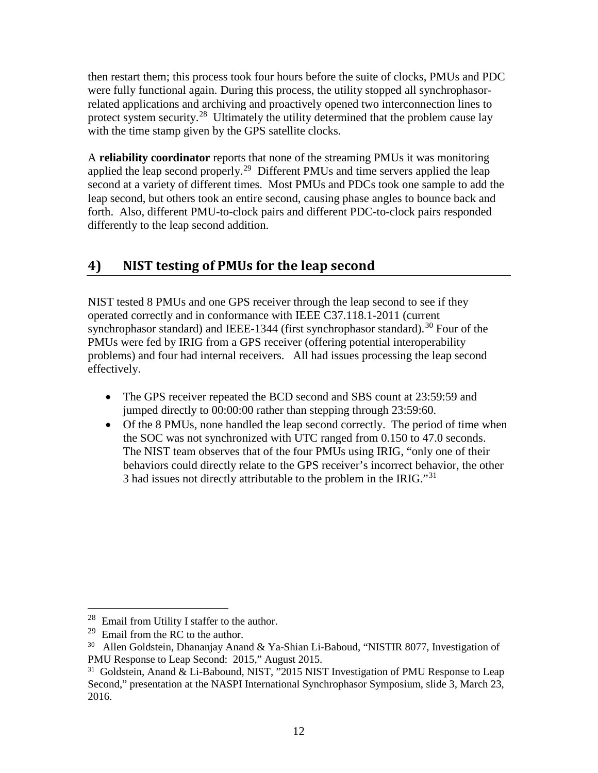then restart them; this process took four hours before the suite of clocks, PMUs and PDC were fully functional again. During this process, the utility stopped all synchrophasorrelated applications and archiving and proactively opened two interconnection lines to protect system security.<sup>[28](#page-11-0)</sup> Ultimately the utility determined that the problem cause lay with the time stamp given by the GPS satellite clocks.

A **reliability coordinator** reports that none of the streaming PMUs it was monitoring applied the leap second properly.<sup>29</sup> Different PMUs and time servers applied the leap second at a variety of different times. Most PMUs and PDCs took one sample to add the leap second, but others took an entire second, causing phase angles to bounce back and forth. Also, different PMU-to-clock pairs and different PDC-to-clock pairs responded differently to the leap second addition.

## **4) NIST testing of PMUs for the leap second**

NIST tested 8 PMUs and one GPS receiver through the leap second to see if they operated correctly and in conformance with IEEE C37.118.1-2011 (current synchrophasor standard) and IEEE-1344 (first synchrophasor standard).<sup>[30](#page-11-2)</sup> Four of the PMUs were fed by IRIG from a GPS receiver (offering potential interoperability problems) and four had internal receivers. All had issues processing the leap second effectively.

- The GPS receiver repeated the BCD second and SBS count at 23:59:59 and jumped directly to 00:00:00 rather than stepping through 23:59:60.
- Of the 8 PMUs, none handled the leap second correctly. The period of time when the SOC was not synchronized with UTC ranged from 0.150 to 47.0 seconds. The NIST team observes that of the four PMUs using IRIG, "only one of their behaviors could directly relate to the GPS receiver's incorrect behavior, the other 3 had issues not directly attributable to the problem in the IRIG."<sup>[31](#page-11-3)</sup>

<span id="page-11-0"></span> <sup>28</sup> Email from Utility I staffer to the author.

<span id="page-11-1"></span> $29$  Email from the RC to the author.

<span id="page-11-2"></span><sup>&</sup>lt;sup>30</sup> Allen Goldstein, Dhananjay Anand & Ya-Shian Li-Baboud, "NISTIR 8077, Investigation of PMU Response to Leap Second: 2015," August 2015.

<span id="page-11-3"></span><sup>&</sup>lt;sup>31</sup> Goldstein, Anand & Li-Babound, NIST, "2015 NIST Investigation of PMU Response to Leap Second," presentation at the NASPI International Synchrophasor Symposium, slide 3, March 23, 2016.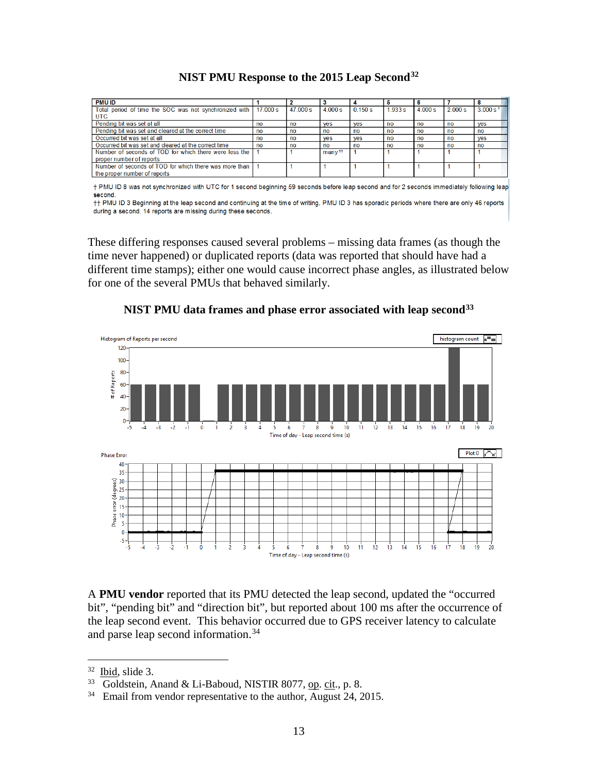| <b>PMU ID</b>                                            |            |          |                    |            |           |       |        |                        |
|----------------------------------------------------------|------------|----------|--------------------|------------|-----------|-------|--------|------------------------|
| Total period of time the SOC was not synchronized with I | $17,000$ s | 47 000 s | 4000s              | 0.150 s    | 1.933 s   | 4000s | 2000 s | $3.000$ s <sup>†</sup> |
| <b>UTC</b>                                               |            |          |                    |            |           |       |        |                        |
| Pending bit was set at all                               | no         | no       | <b>ves</b>         | <b>ves</b> | no        | no    | no     | <b>ves</b>             |
| Pending bit was set and cleared at the correct time      | no         | no       | no                 | no         | no        | no    | no     | no                     |
| Occurred bit was set at all                              | no         | no       | <b>ves</b>         | <b>ves</b> | <b>no</b> | no    | no     | <b>ves</b>             |
| Occurred bit was set and cleared at the correct time     | no         | no       | no                 | no         | no        | no    | no     | no                     |
| Number of seconds of TOD for which there were less the   |            |          | many <sup>††</sup> |            |           |       |        |                        |
| proper number of reports                                 |            |          |                    |            |           |       |        |                        |
| Number of seconds of TOD for which there was more than   |            |          |                    |            |           |       |        |                        |
| the proper number of reports                             |            |          |                    |            |           |       |        |                        |

#### **NIST PMU Response to the 2015 Leap Second[32](#page-12-0)**

+ PMU ID 8 was not synchronized with UTC for 1 second beginning 59 seconds before leap second and for 2 seconds immediately following leap second

++ PMU ID 3 Beginning at the leap second and continuing at the time of writing, PMU ID 3 has sporadic periods where there are only 46 reports during a second. 14 reports are missing during these seconds.

These differing responses caused several problems – missing data frames (as though the time never happened) or duplicated reports (data was reported that should have had a different time stamps); either one would cause incorrect phase angles, as illustrated below for one of the several PMUs that behaved similarly.



**NIST PMU data frames and phase error associated with leap second[33](#page-12-1)**

A **PMU vendor** reported that its PMU detected the leap second, updated the "occurred bit", "pending bit" and "direction bit", but reported about 100 ms after the occurrence of the leap second event. This behavior occurred due to GPS receiver latency to calculate and parse leap second information.[34](#page-12-2)

<span id="page-12-0"></span> $32$  Ibid, slide 3.

<span id="page-12-2"></span><span id="page-12-1"></span><sup>&</sup>lt;sup>33</sup> Goldstein, Anand & Li-Baboud, NISTIR 8077, op. cit., p. 8.<br><sup>34</sup> Email from vendor representative to the author, August 24, 2015.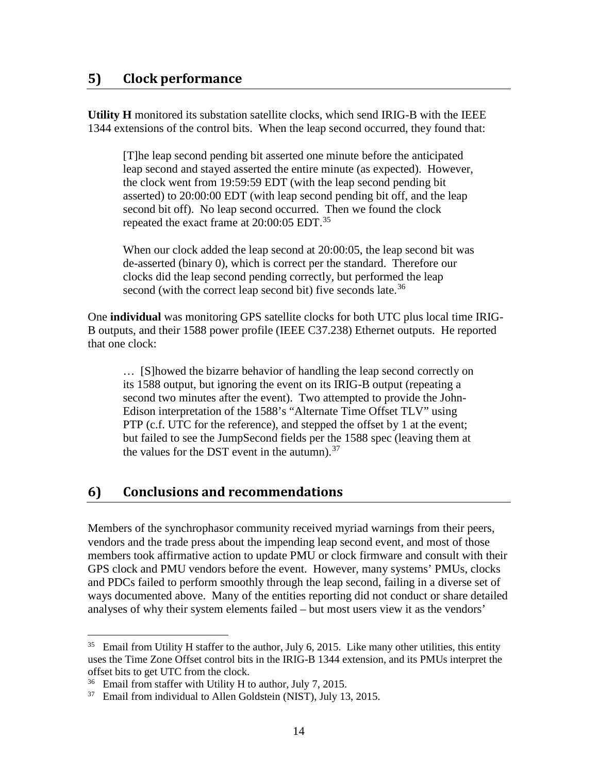### **5) Clock performance**

**Utility H** monitored its substation satellite clocks, which send IRIG-B with the IEEE 1344 extensions of the control bits. When the leap second occurred, they found that:

[T]he leap second pending bit asserted one minute before the anticipated leap second and stayed asserted the entire minute (as expected). However, the clock went from 19:59:59 EDT (with the leap second pending bit asserted) to 20:00:00 EDT (with leap second pending bit off, and the leap second bit off). No leap second occurred. Then we found the clock repeated the exact frame at 20:00:05 EDT.<sup>[35](#page-13-0)</sup>

When our clock added the leap second at 20:00:05, the leap second bit was de-asserted (binary 0), which is correct per the standard. Therefore our clocks did the leap second pending correctly, but performed the leap second (with the correct leap second bit) five seconds late.<sup>[36](#page-13-1)</sup>

One **individual** was monitoring GPS satellite clocks for both UTC plus local time IRIG-B outputs, and their 1588 power profile (IEEE C37.238) Ethernet outputs. He reported that one clock:

… [S]howed the bizarre behavior of handling the leap second correctly on its 1588 output, but ignoring the event on its IRIG-B output (repeating a second two minutes after the event). Two attempted to provide the John-Edison interpretation of the 1588's "Alternate Time Offset TLV" using PTP (c.f. UTC for the reference), and stepped the offset by 1 at the event; but failed to see the JumpSecond fields per the 1588 spec (leaving them at the values for the DST event in the autumn).<sup>[37](#page-13-2)</sup>

### **6) Conclusions and recommendations**

Members of the synchrophasor community received myriad warnings from their peers, vendors and the trade press about the impending leap second event, and most of those members took affirmative action to update PMU or clock firmware and consult with their GPS clock and PMU vendors before the event. However, many systems' PMUs, clocks and PDCs failed to perform smoothly through the leap second, failing in a diverse set of ways documented above. Many of the entities reporting did not conduct or share detailed analyses of why their system elements failed – but most users view it as the vendors'

<span id="page-13-0"></span> $35$  Email from Utility H staffer to the author, July 6, 2015. Like many other utilities, this entity uses the Time Zone Offset control bits in the IRIG-B 1344 extension, and its PMUs interpret the offset bits to get UTC from the clock.

<span id="page-13-1"></span><sup>&</sup>lt;sup>36</sup> Email from staffer with Utility H to author, July 7, 2015.

<span id="page-13-2"></span> $37$  Email from individual to Allen Goldstein (NIST), July 13, 2015.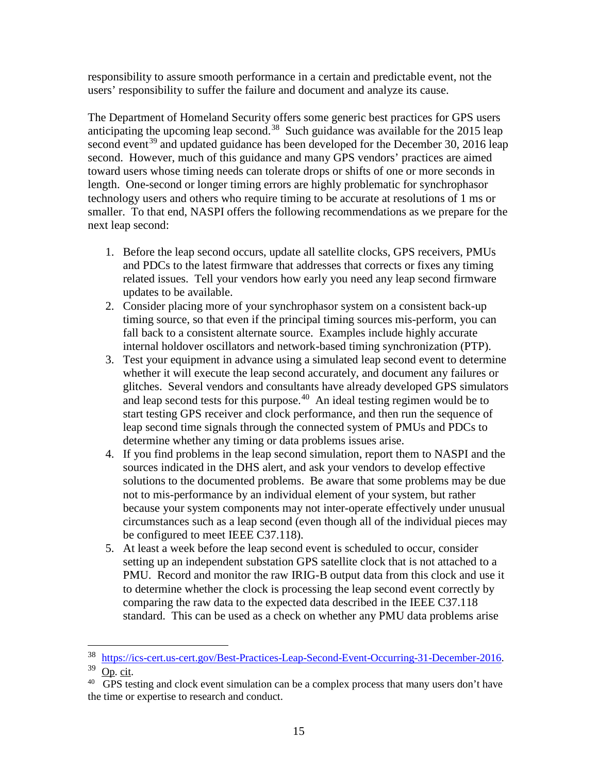responsibility to assure smooth performance in a certain and predictable event, not the users' responsibility to suffer the failure and document and analyze its cause.

The Department of Homeland Security offers some generic best practices for GPS users anticipating the upcoming leap second.<sup>[38](#page-14-0)</sup> Such guidance was available for the 2015 leap second event<sup>[39](#page-14-1)</sup> and updated guidance has been developed for the December 30, 2016 leap second. However, much of this guidance and many GPS vendors' practices are aimed toward users whose timing needs can tolerate drops or shifts of one or more seconds in length. One-second or longer timing errors are highly problematic for synchrophasor technology users and others who require timing to be accurate at resolutions of 1 ms or smaller. To that end, NASPI offers the following recommendations as we prepare for the next leap second:

- 1. Before the leap second occurs, update all satellite clocks, GPS receivers, PMUs and PDCs to the latest firmware that addresses that corrects or fixes any timing related issues. Tell your vendors how early you need any leap second firmware updates to be available.
- 2. Consider placing more of your synchrophasor system on a consistent back-up timing source, so that even if the principal timing sources mis-perform, you can fall back to a consistent alternate source. Examples include highly accurate internal holdover oscillators and network-based timing synchronization (PTP).
- 3. Test your equipment in advance using a simulated leap second event to determine whether it will execute the leap second accurately, and document any failures or glitches. Several vendors and consultants have already developed GPS simulators and leap second tests for this purpose.<sup>40</sup> An ideal testing regimen would be to start testing GPS receiver and clock performance, and then run the sequence of leap second time signals through the connected system of PMUs and PDCs to determine whether any timing or data problems issues arise.
- 4. If you find problems in the leap second simulation, report them to NASPI and the sources indicated in the DHS alert, and ask your vendors to develop effective solutions to the documented problems. Be aware that some problems may be due not to mis-performance by an individual element of your system, but rather because your system components may not inter-operate effectively under unusual circumstances such as a leap second (even though all of the individual pieces may be configured to meet IEEE C37.118).
- 5. At least a week before the leap second event is scheduled to occur, consider setting up an independent substation GPS satellite clock that is not attached to a PMU. Record and monitor the raw IRIG-B output data from this clock and use it to determine whether the clock is processing the leap second event correctly by comparing the raw data to the expected data described in the IEEE C37.118 standard. This can be used as a check on whether any PMU data problems arise

 <sup>38</sup> [https://ics-cert.us-cert.gov/Best-Practices-Leap-Second-Event-Occurring-31-December-2016.](https://ics-cert.us-cert.gov/Best-Practices-Leap-Second-Event-Occurring-31-December-2016)

<span id="page-14-1"></span><span id="page-14-0"></span> $39 \overline{Op}$ . cit.

<span id="page-14-2"></span> $40$  GPS testing and clock event simulation can be a complex process that many users don't have the time or expertise to research and conduct.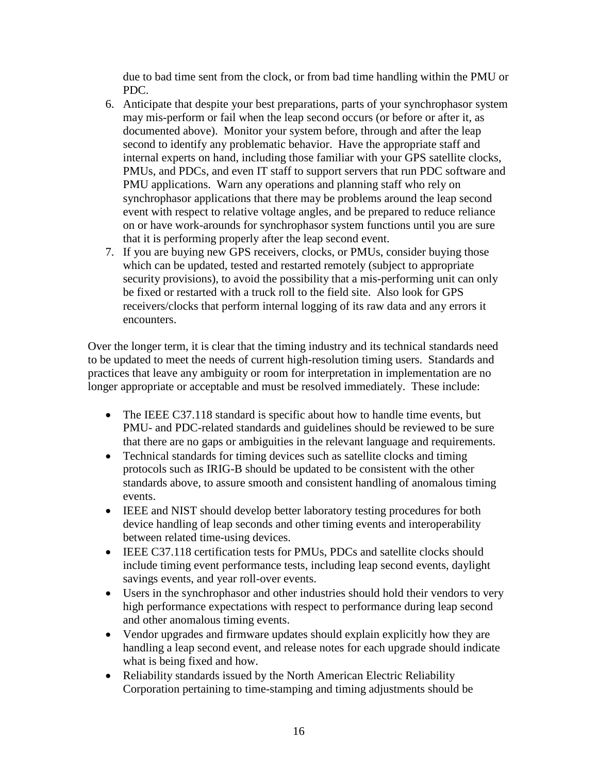due to bad time sent from the clock, or from bad time handling within the PMU or PDC.

- 6. Anticipate that despite your best preparations, parts of your synchrophasor system may mis-perform or fail when the leap second occurs (or before or after it, as documented above). Monitor your system before, through and after the leap second to identify any problematic behavior. Have the appropriate staff and internal experts on hand, including those familiar with your GPS satellite clocks, PMUs, and PDCs, and even IT staff to support servers that run PDC software and PMU applications. Warn any operations and planning staff who rely on synchrophasor applications that there may be problems around the leap second event with respect to relative voltage angles, and be prepared to reduce reliance on or have work-arounds for synchrophasor system functions until you are sure that it is performing properly after the leap second event.
- 7. If you are buying new GPS receivers, clocks, or PMUs, consider buying those which can be updated, tested and restarted remotely (subject to appropriate security provisions), to avoid the possibility that a mis-performing unit can only be fixed or restarted with a truck roll to the field site. Also look for GPS receivers/clocks that perform internal logging of its raw data and any errors it encounters.

Over the longer term, it is clear that the timing industry and its technical standards need to be updated to meet the needs of current high-resolution timing users. Standards and practices that leave any ambiguity or room for interpretation in implementation are no longer appropriate or acceptable and must be resolved immediately. These include:

- The IEEE C37.118 standard is specific about how to handle time events, but PMU- and PDC-related standards and guidelines should be reviewed to be sure that there are no gaps or ambiguities in the relevant language and requirements.
- Technical standards for timing devices such as satellite clocks and timing protocols such as IRIG-B should be updated to be consistent with the other standards above, to assure smooth and consistent handling of anomalous timing events.
- IEEE and NIST should develop better laboratory testing procedures for both device handling of leap seconds and other timing events and interoperability between related time-using devices.
- IEEE C37.118 certification tests for PMUs, PDCs and satellite clocks should include timing event performance tests, including leap second events, daylight savings events, and year roll-over events.
- Users in the synchrophasor and other industries should hold their vendors to very high performance expectations with respect to performance during leap second and other anomalous timing events.
- Vendor upgrades and firmware updates should explain explicitly how they are handling a leap second event, and release notes for each upgrade should indicate what is being fixed and how.
- Reliability standards issued by the North American Electric Reliability Corporation pertaining to time-stamping and timing adjustments should be